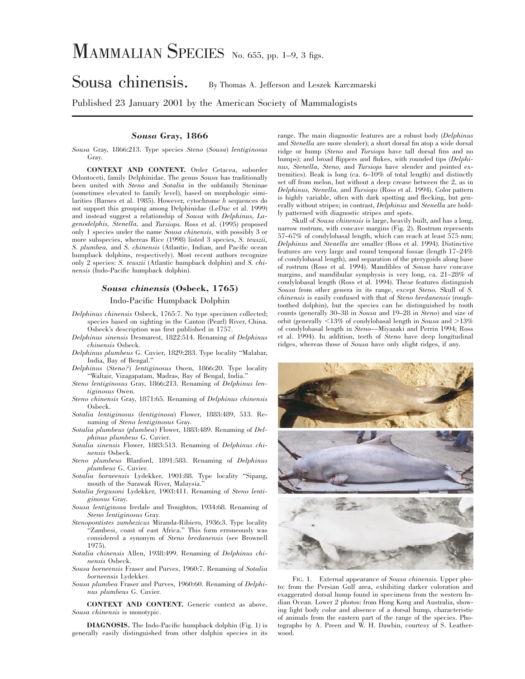# MAMMALIAN SPECIES No. 655, pp. 1-9, 3 figs.

## Sousa chinensis. By Thomas A. Jefferson and Leszek Karczmarski

Published 23 January 2001 by the American Society of Mammalogists

### *Sousa* **Gray, 1866**

*Sousa* Gray, 1866:213. Type species *Steno* (*Sousa*) *lentiginosus* Gray.

**CONTEXT AND CONTENT.** Order Cetacea, suborder Odontoceti, family Delphinidae. The genus *Sousa* has traditionally been united with *Steno* and *Sotalia* in the subfamily Steninae (sometimes elevated to family level), based on morphologic similarities (Barnes et al. 1985). However, cytochrome *b* sequences do not support this grouping among Delphinidae (LeDuc et al. 1999) and instead suggest a relationship of *Sousa* with *Delphinus, Lagenodelphis, Stenella,* and *Tursiops.* Ross et al. (1995) proposed only 1 species under the name *Sousa chinensis,* with possibly 3 or more subspecies, whereas Rice (1998) listed 3 species, *S. teuszii, S. plumbea,* and *S. chinensis* (Atlantic, Indian, and Pacific ocean humpback dolphins, respectively). Most recent authors recognize only 2 species: *S. teuszii* (Atlantic humpback dolphin) and *S. chinensis* (Indo-Pacific humpback dolphin).

#### *Sousa chinensis* **(Osbeck, 1765)**

#### Indo-Pacific Humpback Dolphin

- *Delphinus chinensis* Osbeck, 1765:7. No type specimen collected; species based on sighting in the Canton (Pearl) River, China. Osbeck's description was first published in 1757.
- *Delphinus sinensis* Desmarest, 1822:514. Renaming of *Delphinus chinensis* Osbeck.
- *Delphinus plumbeus* G. Cuvier, 1829:283. Type locality ''Malabar, India, Bay of Bengal.''
- *Delphinus* (*Steno?*) *lentiginosus* Owen, 1866:20. Type locality ''Waltair, Vizagapatam, Madras, Bay of Bengal, India.''
- *Steno lentiginosus* Gray, 1866:213. Renaming of *Delphinus lentiginosus* Owen.
- *Steno chinensis* Gray, 1871:65. Renaming of *Delphinus chinensis* Osbeck.
- *Sotalia lentiginosus* (*lentiginosa*) Flower, 1883:489, 513. Renaming of *Steno lentiginosus* Gray.
- *Sotalia plumbeus* (*plumbea*) Flower, 1883:489. Renaming of *Delphinus plumbeus* G. Cuvier.
- *Sotalia sinensis* Flower, 1883:513. Renaming of *Delphinus chinensis* Osbeck.
- *Steno plumbeus* Blanford, 1891:583. Renaming of *Delphinus plumbeus* G. Cuvier.
- *Sotalia borneensis* Lydekker, 1901:88. Type locality ''Sipang, mouth of the Sarawak River, Malaysia.'
- *Sotalia fergusoni* Lydekker, 1903:411. Renaming of *Steno lentiginosus* Gray.
- *Sousa lentiginosa* Iredale and Troughton, 1934:68. Renaming of *Steno lentiginosus* Gray.
- *Stenopontistes zambezicus* Miranda-Ribiero, 1936:3. Type locality ''Zambesi, coast of east Africa.'' This form erroneously was considered a synonym of *Steno bredanensis* (see Brownell 1975).
- *Sotalia chinensis* Allen, 1938:499. Renaming of *Delphinus chinensis* Osbeck.
- *Sousa borneensis* Fraser and Purves, 1960:7. Renaming of *Sotalia borneensis* Lydekker.
- *Sousa plumbea* Fraser and Purves, 1960:60. Renaming of *Delphinus plumbeus* G. Cuvier.

**CONTEXT AND CONTENT.** Generic context as above. *Sousa chinensis* is monotypic.

**DIAGNOSIS.** The Indo-Pacific humpback dolphin (Fig. 1) is generally easily distinguished from other dolphin species in its

range. The main diagnostic features are a robust body (*Delphinus* and *Stenella* are more slender); a short dorsal fin atop a wide dorsal ridge or hump (*Steno* and *Tursiops* have tall dorsal fins and no humps); and broad flippers and flukes, with rounded tips (*Delphinus, Stenella, Steno,* and *Tursiops* have slender and pointed extremities). Beak is long (ca. 6–10% of total length) and distinctly set off from melon, but without a deep crease between the 2, as in *Delphinus, Stenella,* and *Tursiops* (Ross et al. 1994). Color pattern is highly variable, often with dark spotting and flecking, but generally without stripes; in contrast, *Delphinus* and *Stenella* are boldly patterned with diagnostic stripes and spots.

Skull of *Sousa chinensis* is large, heavily built, and has a long, narrow rostrum, with concave margins (Fig. 2). Rostrum represents 57–67% of condylobasal length, which can reach at least 575 mm; *Delphinus* and *Stenella* are smaller (Ross et al. 1994). Distinctive features are very large and round temporal fossae (length 17–24% of condylobasal length), and separation of the pterygoids along base of rostrum (Ross et al. 1994). Mandibles of *Sousa* have concave margins, and mandibular symphysis is very long, ca. 21–28% of condylobasal length (Ross et al. 1994). These features distinguish *Sousa* from other genera in its range, except *Steno.* Skull of *S. chinensis* is easily confused with that of *Steno bredanensis* (roughtoothed dolphin), but the species can be distinguished by tooth counts (generally 30–38 in *Sousa* and 19–28 in *Steno*) and size of orbit (generally  $\leq$ 13% of condylobasal length in *Sousa* and  $>$ 13% of condylobasal length in *Steno*—Miyazaki and Perrin 1994; Ross et al. 1994). In addition, teeth of *Steno* have deep longitudinal ridges, whereas those of *Sousa* have only slight ridges, if any.



FIG. 1. External appearance of *Sousa chinensis.* Upper photo: from the Persian Gulf area, exhibiting darker coloration and exaggerated dorsal hump found in specimens from the western Indian Ocean. Lower 2 photos: from Hong Kong and Australia, showing light body color and absence of a dorsal hump, characteristic of animals from the eastern part of the range of the species. Photographs by A. Preen and W. H. Dawbin, courtesy of S. Leatherwood.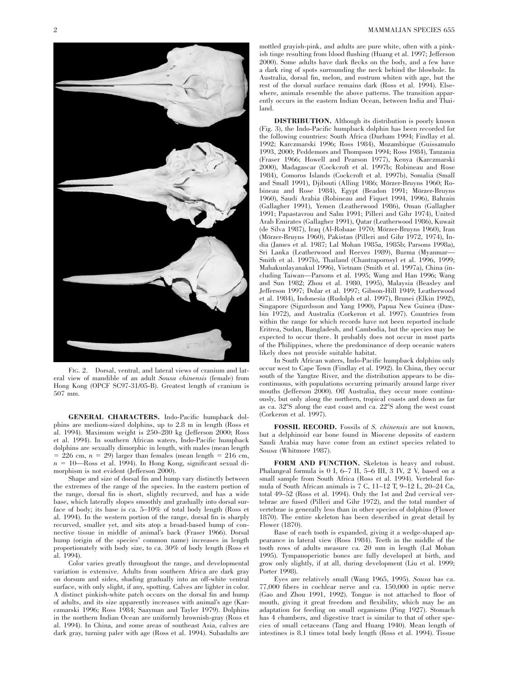

FIG. 2. Dorsal, ventral, and lateral views of cranium and lateral view of mandible of an adult *Sousa chinensis* (female) from Hong Kong (OPCF SC97-31/05-B). Greatest length of cranium is 507 mm.

**GENERAL CHARACTERS.** Indo-Pacific humpback dolphins are medium-sized dolphins, up to 2.8 m in length (Ross et al. 1994). Maximum weight is 250–280 kg (Jefferson 2000; Ross et al. 1994). In southern African waters, Indo-Pacific humpback dolphins are sexually dimorphic in length, with males (mean length  $= 226$  cm,  $n = 29$ ) larger than females (mean length  $= 216$  cm,  $n = 10$ —Ross et al. 1994). In Hong Kong, significant sexual dimorphism is not evident (Jefferson 2000).

Shape and size of dorsal fin and hump vary distinctly between the extremes of the range of the species. In the eastern portion of the range, dorsal fin is short, slightly recurved, and has a wide base, which laterally slopes smoothly and gradually into dorsal surface of body; its base is ca. 5–10% of total body length (Ross et al. 1994). In the western portion of the range, dorsal fin is sharply recurved, smaller yet, and sits atop a broad-based hump of connective tissue in middle of animal's back (Fraser 1966). Dorsal hump (origin of the species' common name) increases in length proportionately with body size, to ca. 30% of body length (Ross et al. 1994).

Color varies greatly throughout the range, and developmental variation is extensive. Adults from southern Africa are dark gray on dorsum and sides, shading gradually into an off-white ventral surface, with only slight, if any, spotting. Calves are lighter in color. A distinct pinkish-white patch occurs on the dorsal fin and hump of adults, and its size apparently increases with animal's age (Karczmarski 1996; Ross 1984; Saayman and Tayler 1979). Dolphins in the northern Indian Ocean are uniformly brownish-gray (Ross et al. 1994). In China, and some areas of southeast Asia, calves are dark gray, turning paler with age (Ross et al. 1994). Subadults are

mottled grayish-pink, and adults are pure white, often with a pinkish tinge resulting from blood flushing (Huang et al. 1997; Jefferson 2000). Some adults have dark flecks on the body, and a few have a dark ring of spots surrounding the neck behind the blowhole. In Australia, dorsal fin, melon, and rostrum whiten with age, but the rest of the dorsal surface remains dark (Ross et al. 1994). Elsewhere, animals resemble the above patterns. The transition apparently occurs in the eastern Indian Ocean, between India and Thailand.

**DISTRIBUTION.** Although its distribution is poorly known (Fig. 3), the Indo-Pacific humpback dolphin has been recorded for the following countries: South Africa (Durham 1994; Findlay et al. 1992; Karczmarski 1996; Ross 1984), Mozambique (Guissamulo 1993, 2000; Peddemors and Thompson 1994; Ross 1984), Tanzania (Fraser 1966; Howell and Pearson 1977), Kenya (Karczmarski 2000), Madagascar (Cockcroft et al. 1997b; Robineau and Rose 1984), Comoros Islands (Cockcroft et al. 1997b), Somalia (Small and Small 1991), Djibouti (Alling 1986; Mörzer-Bruyns 1960; Robineau and Rose 1984), Egypt (Beadon 1991; Mörzer-Bruyns 1960), Saudi Arabia (Robineau and Fiquet 1994, 1996), Bahrain (Gallagher 1991), Yemen (Leatherwood 1986), Oman (Gallagher 1991; Papastavrou and Salm 1991; Pilleri and Gihr 1974), United Arab Emirates (Gallagher 1991), Qatar (Leatherwood 1986), Kuwait (de Silva 1987), Iraq (Al-Robaae 1970; Mörzer-Bruyns 1960), Iran (Mörzer-Bruyns 1960), Pakistan (Pilleri and Gihr 1972, 1974), India (James et al. 1987; Lal Mohan 1985a, 1985b; Parsons 1998a), Sri Lanka (Leatherwood and Reeves 1989), Burma (Myanmar— Smith et al. 1997b), Thailand (Chantrapornsyl et al. 1996, 1999; Mahakunlayanakul 1996), Vietnam (Smith et al. 1997a), China (including Taiwan—Parsons et al. 1995; Wang and Han 1996; Wang and Sun 1982; Zhou et al. 1980, 1995), Malaysia (Beasley and Jefferson 1997; Dolar et al. 1997; Gibson-Hill 1949; Leatherwood et al. 1984), Indonesia (Rudolph et al. 1997), Brunei (Elkin 1992), Singapore (Sigurdsson and Yang 1990), Papua New Guinea (Dawbin 1972), and Australia (Corkeron et al. 1997). Countries from within the range for which records have not been reported include Eritrea, Sudan, Bangladesh, and Cambodia, but the species may be expected to occur there. It probably does not occur in most parts of the Philippines, where the predominance of deep oceanic waters likely does not provide suitable habitat.

In South African waters, Indo-Pacific humpback dolphins only occur west to Cape Town (Findlay et al. 1992). In China, they occur south of the Yangtze River, and the distribution appears to be discontinuous, with populations occurring primarily around large river mouths (Jefferson 2000). Off Australia, they occur more continuously, but only along the northern, tropical coasts and down as far as ca.  $32^{\circ}$ S along the east coast and ca.  $22^{\circ}$ S along the west coast (Corkeron et al. 1997).

**FOSSIL RECORD.** Fossils of *S. chinensis* are not known, but a delphinoid ear bone found in Miocene deposits of eastern Saudi Arabia may have come from an extinct species related to *Sousa* (Whitmore 1987).

**FORM AND FUNCTION.** Skeleton is heavy and robust. Phalangeal formula is 0 I, 6–7 II, 5–6 III, 3 IV, 2 V, based on a small sample from South Africa (Ross et al. 1994). Vertebral formula of South African animals is 7 C, 11–12 T, 9–12 L, 20–24 Ca, total 49–52 (Ross et al. 1994). Only the 1st and 2nd cervical vertebrae are fused (Pilleri and Gihr 1972), and the total number of vertebrae is generally less than in other species of dolphins (Flower 1870). The entire skeleton has been described in great detail by Flower (1870).

Base of each tooth is expanded, giving it a wedge-shaped appearance in lateral view (Ross 1984). Teeth in the middle of the tooth rows of adults measure ca. 20 mm in length (Lal Mohan 1995). Tympanoperiotic bones are fully developed at birth, and grow only slightly, if at all, during development (Liu et al. 1999; Porter 1998).

Eyes are relatively small (Wang 1965, 1995). *Sousa* has ca. 77,000 fibers in cochlear nerve and ca. 150,000 in optic nerve (Gao and Zhou 1991, 1992). Tongue is not attached to floor of mouth, giving it great freedom and flexibility, which may be an adaptation for feeding on small organisms (Ping 1927). Stomach has 4 chambers, and digestive tract is similar to that of other species of small cetaceans (Tang and Huang 1940). Mean length of intestines is 8.1 times total body length (Ross et al. 1994). Tissue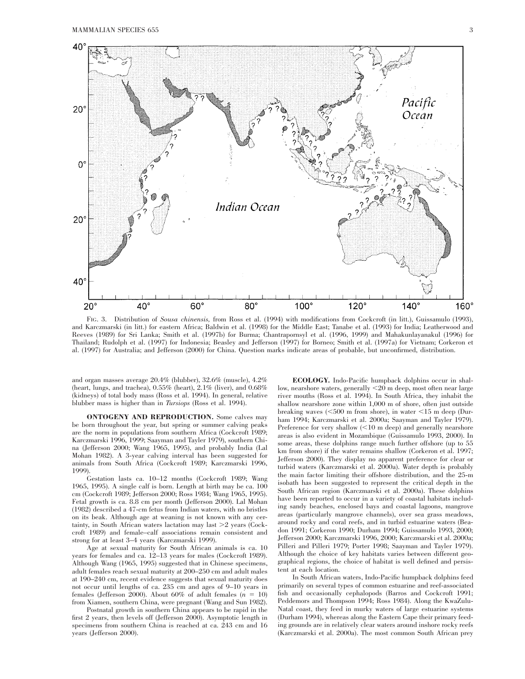

FIG. 3. Distribution of *Sousa chinensis,* from Ross et al. (1994) with modifications from Cockcroft (in litt.), Guissamulo (1993), and Karczmarski (in litt.) for eastern Africa; Baldwin et al. (1998) for the Middle East; Tanabe et al. (1993) for India; Leatherwood and Reeves (1989) for Sri Lanka; Smith et al. (1997b) for Burma; Chantrapornsyl et al. (1996, 1999) and Mahakunlayanakul (1996) for Thailand; Rudolph et al. (1997) for Indonesia; Beasley and Jefferson (1997) for Borneo; Smith et al. (1997a) for Vietnam; Corkeron et al. (1997) for Australia; and Jefferson (2000) for China. Question marks indicate areas of probable, but unconfirmed, distribution.

and organ masses average 20.4% (blubber), 32.6% (muscle), 4.2% (heart, lungs, and trachea),  $0.55\%$  (heart),  $2.1\%$  (liver), and  $0.68\%$ (kidneys) of total body mass (Ross et al. 1994). In general, relative blubber mass is higher than in *Tursiops* (Ross et al. 1994).

**ONTOGENY AND REPRODUCTION.** Some calves may be born throughout the year, but spring or summer calving peaks are the norm in populations from southern Africa (Cockcroft 1989; Karczmarski 1996, 1999; Saayman and Tayler 1979), southern China (Jefferson 2000; Wang 1965, 1995), and probably India (Lal Mohan 1982). A 3-year calving interval has been suggested for animals from South Africa (Cockcroft 1989; Karczmarski 1996, 1999).

Gestation lasts ca. 10–12 months (Cockcroft 1989; Wang 1965, 1995). A single calf is born. Length at birth may be ca.  $100$ cm (Cockcroft 1989; Jefferson 2000; Ross 1984; Wang 1965, 1995). Fetal growth is ca. 8.8 cm per month (Jefferson 2000). Lal Mohan (1982) described a 47-cm fetus from Indian waters, with no bristles on its beak. Although age at weaning is not known with any certainty, in South African waters lactation may last  $\geq 2$  years (Cockcroft 1989) and female–calf associations remain consistent and strong for at least 3–4 years (Karczmarski 1999).

Age at sexual maturity for South African animals is ca. 10 years for females and ca. 12–13 years for males (Cockcroft 1989). Although Wang (1965, 1995) suggested that in Chinese specimens, adult females reach sexual maturity at 200–250 cm and adult males at 190–240 cm, recent evidence suggests that sexual maturity does not occur until lengths of ca. 235 cm and ages of 9–10 years in females (Jefferson 2000). About 60% of adult females  $(n = 10)$ from Xiamen, southern China, were pregnant (Wang and Sun 1982).

Postnatal growth in southern China appears to be rapid in the first 2 years, then levels off (Jefferson 2000). Asymptotic length in specimens from southern China is reached at ca. 243 cm and 16 years (Jefferson 2000).

**ECOLOGY.** Indo-Pacific humpback dolphins occur in shallow, nearshore waters, generally  $<$ 20 m deep, most often near large river mouths (Ross et al. 1994). In South Africa, they inhabit the shallow nearshore zone within 1,000 m of shore, often just outside breaking waves  $(<500$  m from shore), in water  $<15$  m deep (Durham 1994; Karczmarski et al. 2000a; Saayman and Tayler 1979). Preference for very shallow  $(<10$  m deep) and generally nearshore areas is also evident in Mozambique (Guissamulo 1993, 2000). In some areas, these dolphins range much further offshore (up to 55 km from shore) if the water remains shallow (Corkeron et al. 1997; Jefferson 2000). They display no apparent preference for clear or turbid waters (Karczmarski et al. 2000a). Water depth is probably the main factor limiting their offshore distribution, and the 25-m isobath has been suggested to represent the critical depth in the South African region (Karczmarski et al. 2000a). These dolphins have been reported to occur in a variety of coastal habitats including sandy beaches, enclosed bays and coastal lagoons, mangrove areas (particularly mangrove channels), over sea grass meadows, around rocky and coral reefs, and in turbid estuarine waters (Beadon 1991; Corkeron 1990; Durham 1994; Guissamulo 1993, 2000; Jefferson 2000; Karczmarski 1996, 2000; Karczmarski et al. 2000a; Pilleri and Pilleri 1979; Porter 1998; Saayman and Tayler 1979). Although the choice of key habitats varies between different geographical regions, the choice of habitat is well defined and persistent at each location.

In South African waters, Indo-Pacific humpback dolphins feed primarily on several types of common estuarine and reef-associated fish and occasionally cephalopods (Barros and Cockcroft 1991; Peddemors and Thompson 1994; Ross 1984). Along the KwaZulu-Natal coast, they feed in murky waters of large estuarine systems (Durham 1994), whereas along the Eastern Cape their primary feeding grounds are in relatively clear waters around inshore rocky reefs (Karczmarski et al. 2000a). The most common South African prey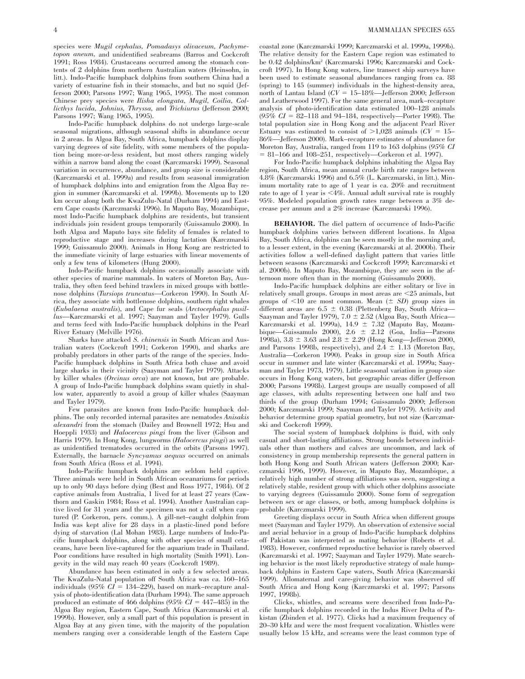species were *Mugil cephalus, Pomadasys olivaceum, Pachymetopon aneum,* and unidentified seabreams (Barros and Cockcroft 1991; Ross 1984). Crustaceans occurred among the stomach contents of 2 dolphins from northern Australian waters (Heinsohn, in litt.). Indo-Pacific humpback dolphins from southern China had a variety of estuarine fish in their stomachs, and but no squid (Jefferson 2000; Parsons 1997; Wang 1965, 1995). The most common Chinese prey species were *Ilisha elongata, Mugil, Coilia, Collicthys lucida, Johnius, Thryssa,* and *Trichiurus* (Jefferson 2000; Parsons 1997; Wang 1965, 1995).

Indo-Pacific humpback dolphins do not undergo large-scale seasonal migrations, although seasonal shifts in abundance occur in 2 areas. In Algoa Bay, South Africa, humpback dolphins display varying degrees of site fidelity, with some members of the population being more-or-less resident, but most others ranging widely within a narrow band along the coast (Karczmarski 1999). Seasonal variation in occurrence, abundance, and group size is considerable (Karczmarski et al. 1999a) and results from seasonal immigration of humpback dolphins into and emigration from the Algoa Bay region in summer (Karczmarski et al. 1999b). Movements up to 120 km occur along both the KwaZulu-Natal (Durham 1994) and Eastern Cape coasts (Karczmarski 1996). In Maputo Bay, Mozambique, most Indo-Pacific humpback dolphins are residents, but transient individuals join resident groups temporarily (Guissamulo 2000). In both Algoa and Maputo bays site fidelity of females is related to reproductive stage and increases during lactation (Karczmarski 1999; Guissamulo 2000). Animals in Hong Kong are restricted to the immediate vicinity of large estuaries with linear movements of only a few tens of kilometers (Hung 2000).

Indo-Pacific humpback dolphins occasionally associate with other species of marine mammals. In waters of Moreton Bay, Australia, they often feed behind trawlers in mixed groups with bottlenose dolphins (*Tursiops truncatus*—Corkeron 1990). In South Africa, they associate with bottlenose dolphins, southern right whales (*Eubalaena australis*), and Cape fur seals (*Arctocephalus pusillus*—Karczmarski et al. 1997; Saayman and Tayler 1979). Gulls and terns feed with Indo-Pacific humpback dolphins in the Pearl River Estuary (Melville 1976).

Sharks have attacked *S. chinensis* in South African and Australian waters (Cockcroft 1991; Corkeron 1990), and sharks are probably predators in other parts of the range of the species. Indo-Pacific humpback dolphins in South Africa both chase and avoid large sharks in their vicinity (Saayman and Tayler 1979). Attacks by killer whales (*Orcinus orca*) are not known, but are probable. A group of Indo-Pacific humpback dolphins swam quietly in shallow water, apparently to avoid a group of killer whales (Saayman and Tayler 1979).

Few parasites are known from Indo-Pacific humpback dolphins. The only recorded internal parasites are nematodes *Anisakis alexandri* from the stomach (Dailey and Brownell 1972; Hsu and Hoeppli 1933) and *Halocercus pingi* from the liver (Gibson and Harris 1979). In Hong Kong, lungworms (*Halocercus pingi*) as well as unidentified trematodes occurred in the orbits (Parsons 1997). Externally, the barnacle *Syncyamus aequus* occurred on animals from South Africa (Ross et al. 1994).

Indo-Pacific humpback dolphins are seldom held captive. Three animals were held in South African oceanariums for periods up to only 90 days before dying (Best and Ross 1977, 1984). Of 2 captive animals from Australia, 1 lived for at least 27 years (Cawthorn and Gaskin 1984; Ross et al. 1994). Another Australian captive lived for 31 years and the specimen was not a calf when captured (P. Corkeron, pers. comm.). A gill-net–caught dolphin from India was kept alive for 28 days in a plastic-lined pond before dying of starvation (Lal Mohan 1983). Large numbers of Indo-Pacific humpback dolphins, along with other species of small cetaceans, have been live-captured for the aquarium trade in Thailand. Poor conditions have resulted in high mortality (Smith 1991). Longevity in the wild may reach 40 years (Cockcroft 1989).

Abundance has been estimated in only a few selected areas. The KwaZulu-Natal population off South Africa was ca. 160–165 individuals  $(95\% \; CI = 134-229)$ , based on mark–recapture analysis of photo-identification data (Durham 1994). The same approach produced an estimate of 466 dolphins  $(95\% \text{ CI} = 447-485)$  in the Algoa Bay region, Eastern Cape, South Africa (Karczmarski et al. 1999b). However, only a small part of this population is present in Algoa Bay at any given time, with the majority of the population members ranging over a considerable length of the Eastern Cape

coastal zone (Karczmarski 1999; Karczmarski et al. 1999a, 1999b). The relative density for the Eastern Cape region was estimated to be 0.42 dolphins/km2 (Karczmarski 1996; Karczmarski and Cockcroft 1997). In Hong Kong waters, line transect ship surveys have been used to estimate seasonal abundances ranging from ca. 88 (spring) to 145 (summer) individuals in the highest-density area, north of Lantau Island  $(CV = 15-18\%$ —Jefferson 2000; Jefferson and Leatherwood 1997). For the same general area, mark–recapture analysis of photo-identification data estimated 100–128 animals (95% CI = 82–118 and 94–184, respectively—Porter 1998). The total population size in Hong Kong and the adjacent Pearl River Estuary was estimated to consist of  $>1,028$  animals ( $CV = 15-$ 86%—Jefferson 2000). Mark–recapture estimates of abundance for Moreton Bay, Australia, ranged from 119 to 163 dolphins (*95% CI* 5 81–166 and 108–251, respectively—Corkeron et al. 1997).

For Indo-Pacific humpback dolphins inhabiting the Algoa Bay region, South Africa, mean annual crude birth rate ranges between 4.8% (Karczmarski 1996) and 6.5% (L. Karczmarski, in litt.). Minimum mortality rate to age of 1 year is ca. 20% and recruitment rate to age of 1 year is  $\leq$ 4%. Annual adult survival rate is roughly 95%. Modeled population growth rates range between a 3% decrease per annum and a 2% increase (Karczmarski 1996).

**BEHAVIOR.** The diel pattern of occurrence of Indo-Pacific humpback dolphins varies between different locations. In Algoa Bay, South Africa, dolphins can be seen mostly in the morning and, to a lesser extent, in the evening (Karczmarski at al. 2000b). Their activities follow a well-defined daylight pattern that varies little between seasons (Karczmarski and Cockcroft 1999; Karczmarski et al. 2000b). In Maputo Bay, Mozambique, they are seen in the afternoon more often than in the morning (Guissamulo 2000).

Indo-Pacific humpback dolphins are either solitary or live in relatively small groups. Groups in most areas are  $<$ 25 animals, but groups of  $\leq 10$  are most common. Mean  $(\pm SD)$  group sizes in different areas are  $6.5 \pm 0.38$  (Plettenberg Bay, South Africa-Saayman and Tayler 1979),  $7.0 \pm 2.52$  (Algoa Bay, South Africa-Karczmarski et al. 1999a), 14.9  $\pm$  7.32 (Maputo Bay, Mozambique—Guissamulo 2000),  $2.6 \pm 2.12$  (Goa, India—Parsons 1998a),  $3.8 \pm 3.63$  and  $2.8 \pm 2.29$  (Hong Kong—Jefferson 2000, and Parsons 1998b, respectively), and  $2.4 \pm 1.13$  (Moreton Bay, Australia—Corkeron 1990). Peaks in group size in South Africa occur in summer and late winter (Karczmarski et al. 1999a; Saayman and Tayler 1973, 1979). Little seasonal variation in group size occurs in Hong Kong waters, but geographic areas differ (Jefferson 2000; Parsons 1998b). Largest groups are usually composed of all age classes, with adults representing between one half and two thirds of the group (Durham 1994; Guissamulo 2000; Jefferson 2000; Karczmarski 1999; Saayman and Tayler 1979). Activity and behavior determine group spatial geometry, but not size (Karczmarski and Cockcroft 1999).

The social system of humpback dolphins is fluid, with only casual and short-lasting affiliations. Strong bonds between individuals other than mothers and calves are uncommon, and lack of consistency in group membership represents the general pattern in both Hong Kong and South African waters (Jefferson 2000; Karczmarski 1996, 1999). However, in Maputo Bay, Mozambique, a relatively high number of strong affiliations was seen, suggesting a relatively stable, resident group with which other dolphins associate to varying degrees (Guissamulo 2000). Some form of segregation between sex or age classes, or both, among humpback dolphins is probable (Karczmarski 1999).

Greeting displays occur in South Africa when different groups meet (Saayman and Tayler 1979). An observation of extensive social and aerial behavior in a group of Indo-Pacific humpback dolphins off Pakistan was interpreted as mating behavior (Roberts et al. 1983). However, confirmed reproductive behavior is rarely observed (Karczmarski et al. 1997; Saayman and Tayler 1979). Mate searching behavior is the most likely reproductive strategy of male humpback dolphins in Eastern Cape waters, South Africa (Karczmarski 1999). Allomaternal and care-giving behavior was observed off South Africa and Hong Kong (Karczmarski et al. 1997; Parsons 1997, 1998b).

Clicks, whistles, and screams were described from Indo-Pacific humpback dolphins recorded in the Indus River Delta of Pakistan (Zbinden et al. 1977). Clicks had a maximum frequency of 20–30 kHz and were the most frequent vocalization. Whistles were usually below 15 kHz, and screams were the least common type of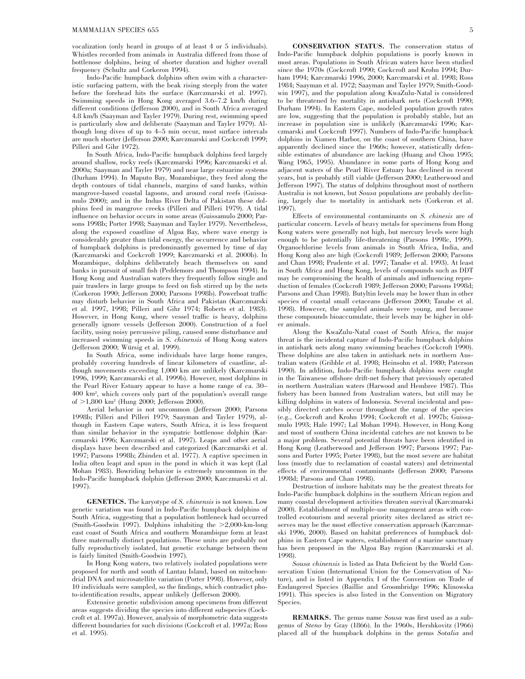vocalization (only heard in groups of at least 4 or 5 individuals). Whistles recorded from animals in Australia differed from those of bottlenose dolphins, being of shorter duration and higher overall frequency (Schultz and Corkeron 1994).

Indo-Pacific humpback dolphins often swim with a characteristic surfacing pattern, with the beak rising steeply from the water before the forehead hits the surface (Karczmarski et al. 1997). Swimming speeds in Hong Kong averaged 3.6–7.2 km/h during different conditions (Jefferson 2000), and in South Africa averaged 4.8 km/h (Saayman and Tayler 1979). During rest, swimming speed is particularly slow and deliberate (Saayman and Tayler 1979). Although long dives of up to 4–5 min occur, most surface intervals are much shorter (Jefferson 2000; Karczmarski and Cockcroft 1999; Pilleri and Gihr 1972).

In South Africa, Indo-Pacific humpback dolphins feed largely around shallow, rocky reefs (Karczmarski 1996; Karczmarski et al. 2000a; Saayman and Tayler 1979) and near large estuarine systems (Durham 1994). In Maputo Bay, Mozambique, they feed along the depth contours of tidal channels, margins of sand banks, within mangrove-based coastal lagoons, and around coral reefs (Guissamulo 2000); and in the Indus River Delta of Pakistan these dolphins feed in mangrove creeks (Pilleri and Pilleri 1979). A tidal influence on behavior occurs in some areas (Guissamulo 2000; Parsons 1998b; Porter 1998; Saayman and Tayler 1979). Nevertheless, along the exposed coastline of Algoa Bay, where wave energy is considerably greater than tidal energy, the occurrence and behavior of humpback dolphins is predominantly governed by time of day (Karczmarski and Cockcroft 1999; Karczmarski et al. 2000b). In Mozambique, dolphins deliberately beach themselves on sand banks in pursuit of small fish (Peddemors and Thompson 1994). In Hong Kong and Australian waters they frequently follow single and pair trawlers in large groups to feed on fish stirred up by the nets (Corkeron 1990; Jefferson 2000; Parsons 1998b). Powerboat traffic may disturb behavior in South Africa and Pakistan (Karczmarski et al. 1997, 1998; Pilleri and Gihr 1974; Roberts et al. 1983). However, in Hong Kong, where vessel traffic is heavy, dolphins generally ignore vessels (Jefferson 2000). Construction of a fuel facility, using noisy percussive piling, caused some disturbance and increased swimming speeds in *S. chinensis* of Hong Kong waters (Jefferson 2000; Würsig et al. 1999).

In South Africa, some individuals have large home ranges, probably covering hundreds of linear kilometers of coastline, although movements exceeding 1,000 km are unlikely (Karczmarski 1996, 1999; Karczmarski et al. 1999b). However, most dolphins in the Pearl River Estuary appear to have a home range of ca. 30– 400 km2 , which covers only part of the population's overall range of >1,800 km<sup>2</sup> (Hung 2000; Jefferson 2000).

Aerial behavior is not uncommon (Jefferson 2000; Parsons 1998b; Pilleri and Pilleri 1979; Saayman and Tayler 1979), although in Eastern Cape waters, South Africa, it is less frequent than similar behavior in the sympatric bottlenose dolphin (Karczmarski 1996; Karczmarski et al. 1997). Leaps and other aerial displays have been described and categorized (Karczmarski et al. 1997; Parsons 1998b; Zbinden et al. 1977). A captive specimen in India often leapt and spun in the pond in which it was kept (Lal Mohan 1983). Bowriding behavior is extremely uncommon in the Indo-Pacific humpback dolphin (Jefferson 2000; Karczmarski et al. 1997).

**GENETICS.** The karyotype of *S. chinensis* is not known. Low genetic variation was found in Indo-Pacific humpback dolphins of South Africa, suggesting that a population bottleneck had occurred (Smith-Goodwin 1997). Dolphins inhabiting the  $\geq 2,000$ -km-long east coast of South Africa and southern Mozambique form at least three maternally distinct populations. These units are probably not fully reproductively isolated, but genetic exchange between them is fairly limited (Smith-Goodwin 1997).

In Hong Kong waters, two relatively isolated populations were proposed for north and south of Lantau Island, based on mitochondrial DNA and microsatellite variation (Porter 1998). However, only 10 individuals were sampled, so the findings, which contradict photo-identification results, appear unlikely (Jefferson 2000).

Extensive genetic subdivision among specimens from different areas suggests dividing the species into different subspecies (Cockcroft et al. 1997a). However, analysis of morphometric data suggests different boundaries for such divisions (Cockcroft et al. 1997a; Ross et al. 1995).

**CONSERVATION STATUS.** The conservation status of Indo-Pacific humpback dolphin populations is poorly known in most areas. Populations in South African waters have been studied since the 1970s (Cockcroft 1990; Cockcroft and Krohn 1994; Durham 1994; Karczmarski 1996, 2000; Karczmarski et al. 1998; Ross 1984; Saayman et al. 1972; Saayman and Tayler 1979; Smith-Goodwin 1997), and the population along KwaZulu-Natal is considered to be threatened by mortality in antishark nets (Cockcroft 1990; Durham 1994). In Eastern Cape, modeled population growth rates are low, suggesting that the population is probably stable, but an increase in population size is unlikely (Karczmarski 1996; Karczmarski and Cockcroft 1997). Numbers of Indo-Pacific humpback dolphins in Xiamen Harbor, on the coast of southern China, have apparently declined since the 1960s; however, statistically defensible estimates of abundance are lacking (Huang and Chou 1995; Wang 1965, 1995). Abundance in some parts of Hong Kong and adjacent waters of the Pearl River Estuary has declined in recent years, but is probably still viable (Jefferson 2000; Leatherwood and Jefferson 1997). The status of dolphins throughout most of northern Australia is not known, but *Sousa* populations are probably declining, largely due to mortality in antishark nets (Corkeron et al. 1997).

Effects of environmental contaminants on *S. chinesis* are of particular concern. Levels of heavy metals for specimens from Hong Kong waters were generally not high, but mercury levels were high enough to be potentially life-threatening (Parsons 1998c, 1999). Organochlorine levels from animals in South Africa, India, and Hong Kong also are high (Cockcroft 1989; Jefferson 2000; Parsons and Chan 1998; Prudente et al. 1997; Tanabe et al. 1993). At least in South Africa and Hong Kong, levels of compounds such as DDT may be compromising the health of animals and influencing reproduction of females (Cockcroft 1989; Jefferson 2000; Parsons 1998d; Parsons and Chan 1998). Butyltin levels may be lower than in other species of coastal small cetaceans (Jefferson 2000; Tanabe et al. 1998). However, the sampled animals were young, and because these compounds bioaccumulate, their levels may be higher in older animals.

Along the KwaZulu-Natal coast of South Africa, the major threat is the incidental capture of Indo-Pacific humpback dolphins in antishark nets along many swimming beaches (Cockcroft 1990). These dolphins are also taken in antishark nets in northern Australian waters (Gribble et al. 1998; Heinsohn et al. 1980; Paterson 1990). In addition, Indo-Pacific humpback dolphins were caught in the Taiwanese offshore drift-net fishery that previously operated in northern Australian waters (Harwood and Hembree 1987). This fishery has been banned from Australian waters, but still may be killing dolphins in waters of Indonesia. Several incidental and possibly directed catches occur throughout the range of the species (e.g., Cockcroft and Krohn 1994; Cockcroft et al. 1997b; Guissamulo 1993; Hale 1997; Lal Mohan 1994). However, in Hong Kong and most of southern China incidental catches are not known to be a major problem. Several potential threats have been identified in Hong Kong (Leatherwood and Jefferson 1997; Parsons 1997; Parsons and Porter 1995; Porter 1998), but the most severe are habitat loss (mostly due to reclamation of coastal waters) and detrimental effects of environmental contaminants (Jefferson 2000; Parsons 1998d; Parsons and Chan 1998).

Destruction of inshore habitats may be the greatest threats for Indo-Pacific humpback dolphins in the southern African region and many coastal development activities threaten survival (Karczmarski 2000). Establishment of multiple-use management areas with controlled ecotourism and several priority sites declared as strict reserves may be the most effective conservation approach (Karczmarski 1996, 2000). Based on habitat preferences of humpback dolphins in Eastern Cape waters, establishment of a marine sanctuary has been proposed in the Algoa Bay region (Karczmarski et al. 1998).

*Sousa chinensis* is listed as Data Deficient by the World Conservation Union (International Union for the Conservation of Nature), and is listed in Appendix I of the Convention on Trade of Endangered Species (Baillie and Groombridge 1996; Klinowska 1991). This species is also listed in the Convention on Migratory Species.

**REMARKS.** The genus name *Sousa* was first used as a subgenus of *Steno* by Gray (1866). In the 1960s, Hershkovitz (1966) placed all of the humpback dolphins in the genus *Sotalia* and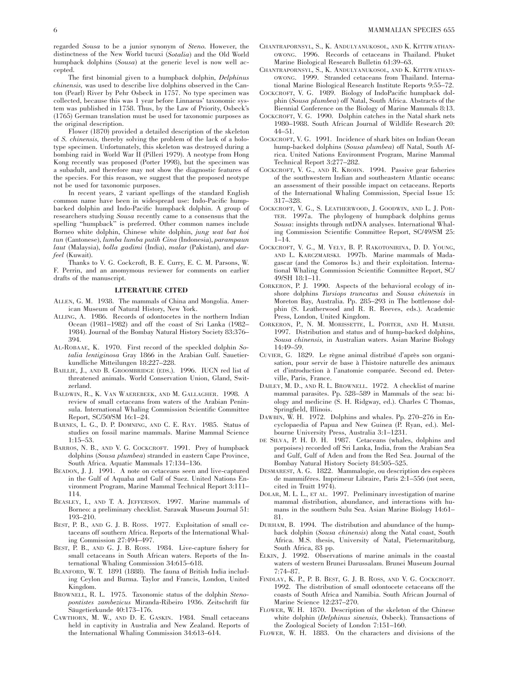regarded *Sousa* to be a junior synonym of *Steno.* However, the distinctness of the New World tucuxi (*Sotalia*) and the Old World humpback dolphins (*Sousa*) at the generic level is now well accepted.

The first binomial given to a humpback dolphin, *Delphinus chinensis,* was used to describe live dolphins observed in the Canton (Pearl) River by Pehr Osbeck in 1757. No type specimen was collected, because this was 1 year before Linnaeus' taxonomic system was published in 1758. Thus, by the Law of Priority, Osbeck's (1765) German translation must be used for taxonomic purposes as the original description.

Flower (1870) provided a detailed description of the skeleton of *S. chinensis,* thereby solving the problem of the lack of a holotype specimen. Unfortunately, this skeleton was destroyed during a bombing raid in World War II (Pilleri 1979). A neotype from Hong Kong recently was proposed (Porter 1998), but the specimen was a subadult, and therefore may not show the diagnostic features of the species. For this reason, we suggest that the proposed neotype not be used for taxonomic purposes.

In recent years, 2 variant spellings of the standard English common name have been in widespread use: Indo-Pacific humpbacked dolphin and Indo-Pacific humpback dolphin. A group of researchers studying *Sousa* recently came to a consensus that the spelling ''humpback'' is preferred. Other common names include Borneo white dolphin, Chinese white dolphin, *jung wat bat hoi tun* (Cantonese), *lumba lumba putih Cina* (Indonesia), *parampaun laut* (Malaysia), *bolla gadimi* (India), *malar* (Pakistan), and *darfeel* (Kuwait).

Thanks to V. G. Cockcroft, B. E. Curry, E. C. M. Parsons, W. F. Perrin, and an anomymous reviewer for comments on earlier drafts of the manuscript.

#### **LITERATURE CITED**

- ALLEN, G. M. 1938. The mammals of China and Mongolia. American Museum of Natural History, New York.
- ALLING, A. 1986. Records of odontocetes in the northern Indian Ocean (1981–1982) and off the coast of Sri Lanka (1982– 1984). Journal of the Bombay Natural History Society 83:376– 394.
- AL-ROBAAE, K. 1970. First record of the speckled dolphin *Sotalia lentiginosa* Gray 1866 in the Arabian Gulf. Sauetierkundliche Mitteilungen 18:227–228.
- BAILLIE, J., AND B. GROOMBRIDGE (EDS.). 1996. IUCN red list of threatened animals. World Conservation Union, Gland, Switzerland.
- BALDWIN, R., K. VAN WAEREBEEK, AND M. GALLAGHER. 1998. A review of small cetaceans from waters of the Arabian Peninsula. International Whaling Commission Scientific Committee Report, SC/50/SM 16:1–24.
- BARNES, L. G., D. P. DOMNING, AND C. E. RAY. 1985. Status of studies on fossil marine mammals. Marine Mammal Science 1:15–53.
- BARROS, N. B., AND V. G. COCKCROFT. 1991. Prey of humpback dolphins (*Sousa plumbea*) stranded in eastern Cape Province, South Africa. Aquatic Mammals 17:134–136.
- BEADON, J. J. 1991. A note on cetaceans seen and live-captured in the Gulf of Aquaba and Gulf of Suez. United Nations Environment Program, Marine Mammal Technical Report 3:111– 114.
- BEASLEY, I., AND T. A. JEFFERSON. 1997. Marine mammals of Borneo: a preliminary checklist. Sarawak Museum Journal 51: 193–210.
- BEST, P. B., AND G. J. B. ROSS. 1977. Exploitation of small cetaceans off southern Africa. Reports of the International Whaling Commission 27:494–497.
- BEST, P. B., AND G. J. B. ROSS. 1984. Live-capture fishery for small cetaceans in South African waters. Reports of the International Whaling Commission 34:615–618.
- BLANFORD, W. T. 1891 (1888). The fauna of British India including Ceylon and Burma. Taylor and Francis, London, United Kingdom.
- BROWNELL, R. L. 1975. Taxonomic status of the dolphin *Stenopontistes zambezicus* Miranda-Ribeiro 1936. Zeitschrift für Säugetierkunde 40:173-176.
- CAWTHORN, M. W., AND D. E. GASKIN. 1984. Small cetaceans held in captivity in Australia and New Zealand. Reports of the International Whaling Commission 34:613–614.
- CHANTRAPORNSYL, S., K. ANDULYANUKOSOL, AND K. KITTIWATHAN-OWONG. 1996. Records of cetaceans in Thailand. Phuket Marine Biological Research Bulletin 61:39–63.
- CHANTRAPORNSYL, S., K. ANDULYANUKOSOL, AND K. KITTIWATHAN-OWONG. 1999. Stranded cetaceans from Thailand. International Marine Biological Research Institute Reports 9:55–72.
- COCKCROFT, V. G. 1989. Biology of IndoPacific humpback dolphin (*Sousa plumbea*) off Natal, South Africa. Abstracts of the Biennial Conference on the Biology of Marine Mammals 8:13.
- COCKCROFT, V. G. 1990. Dolphin catches in the Natal shark nets 1980–1988. South African Journal of Wildlife Research 20: 44–51.
- COCKCROFT, V. G. 1991. Incidence of shark bites on Indian Ocean hump-backed dolphins (*Sousa plumbea*) off Natal, South Africa. United Nations Environment Program, Marine Mammal Technical Report 3:277–282.
- COCKCROFT, V. G., AND R. KROHN. 1994. Passive gear fisheries of the southwestern Indian and southeastern Atlantic oceans: an assessment of their possible impact on cetaceans. Reports of the International Whaling Commission, Special Issue 15: 317–328.
- COCKCROFT, V. G., S. LEATHERWOOD, J. GOODWIN, AND L. J. POR-TER. 1997a. The phylogeny of humpback dolphins genus *Sousa*: insights through mtDNA analyses. International Whaling Commission Scientific Committee Report, SC/49/SM 25: 1–14.
- COCKCROFT, V. G., M. VELY, B. P. RAKOTONIRINA, D. D. YOUNG, AND L. KARCZMARSKI. 1997b. Marine mammals of Madagascar (and the Comoros Is.) and their exploitation. International Whaling Commission Scientific Committee Report, SC/ 49/SH 18:1–11.
- CORKERON, P. J. 1990. Aspects of the behavioral ecology of inshore dolphins *Tursiops truncatus* and *Sousa chinensis* in Moreton Bay, Australia. Pp. 285–293 in The bottlenose dolphin (S. Leatherwood and R. R. Reeves, eds.). Academic Press, London, United Kingdom.
- CORKERON, P., N. M. MORISSETTE, L. PORTER, AND H. MARSH. 1997. Distribution and status and of hump-backed dolphins, *Sousa chinensis,* in Australian waters. Asian Marine Biology 14:49–59.
- CUVIER, G. 1829. Le règne animal distribué d'après son organisation, pour servir de base à l'histoire naturelle des animaux et d'introduction à l'anatomie comparée. Second ed. Deterville, Paris, France.
- DAILEY, M. D., AND R. L. BROWNELL. 1972. A checklist of marine mammal parasites. Pp. 528–589 in Mammals of the sea: biology and medicine (S. H. Ridgway, ed.). Charles C Thomas, Springfield, Illinois.
- DAWBIN, W. H. 1972. Dolphins and whales. Pp. 270–276 in Encyclopaedia of Papua and New Guinea (P. Ryan, ed.). Melbourne University Press, Australia 3:1–1231.
- DE SILVA, P. H. D. H. 1987. Cetaceans (whales, dolphins and porpoises) recorded off Sri Lanka, India, from the Arabian Sea and Gulf, Gulf of Aden and from the Red Sea. Journal of the Bombay Natural History Society 84:505–525.
- DESMAREST, A. G. 1822. Mammalogie, ou description des espèces de mammiféres. Imprimeur Libraire, Paris 2:1–556 (not seen, cited in Truitt 1974).
- DOLAR, M. L. L., ET AL. 1997. Preliminary investigation of marine mammal distribution, abundance, and interactions with humans in the southern Sulu Sea. Asian Marine Biology 14:61– 81.
- DURHAM, B. 1994. The distribution and abundance of the humpback dolphin (*Sousa chinensis*) along the Natal coast, South Africa. M.S. thesis, University of Natal, Pietermaritzburg, South Africa, 83 pp.
- ELKIN, J. 1992. Observations of marine animals in the coastal waters of western Brunei Darussalam. Brunei Museum Journal 7:74–87.
- FINDLAY, K. P., P. B. BEST, G. J. B. ROSS, AND V. G. COCKCROFT. 1992. The distribution of small odontocete cetaceans off the coasts of South Africa and Namibia. South African Journal of Marine Science 12:237–270.
- FLOWER, W. H. 1870. Description of the skeleton of the Chinese white dolphin (*Delphinus sinensis,* Osbeck). Transactions of the Zoological Society of London 7:151–160.
- FLOWER, W. H. 1883. On the characters and divisions of the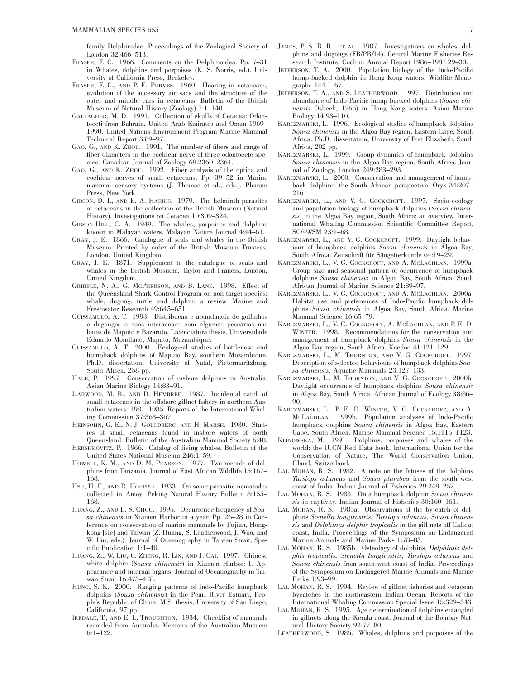family Delphinidae. Proceedings of the Zoological Society of London 32:466–513.

- FRASER, F. C. 1966. Comments on the Delphinoidea. Pp. 7–31 in Whales, dolphins and porpoises (K. S. Norris, ed.). University of California Press, Berkeley.
- FRASER, F. C., AND P. E. PURVES. 1960. Hearing in cetaceans, evolution of the accessory air sacs and the structure of the outer and middle ears in cetaceans. Bulletin of the British Museum of Natural History (Zoology) 7:1–140.
- GALLAGHER, M. D. 1991. Collection of skulls of Cetacea: Odontoceti from Bahrain, United Arab Emirates and Oman 1969– 1990. United Nations Environment Program Marine Mammal Technical Report 3:89–97.
- GAO, G., AND K. ZHOU. 1991. The number of fibers and range of fiber diameters in the cochlear nerve of three odontocete species. Canadian Journal of Zoology 69:2360–2364.
- GAO, G., AND K. ZHOU. 1992. Fiber analysis of the optica and cochlear nerves of small cetaceans. Pp. 39–52 in Marine mammal sensory systems (J. Thomas et al., eds.). Plenum Press, New York.
- GIBSON, D. I., AND E. A. HARRIS. 1979. The helminth parasites of cetaceans in the collection of the British Museum (Natural History). Investigations on Cetacea 10:309–324.
- GIBSON-HILL, C. A. 1949. The whales, porpoises and dolphins known in Malayan waters. Malayan Nature Journal 4:44–61.
- GRAY, J. E. 1866. Catalogue of seals and whales in the British Museum. Printed by order of the British Museum Trustees, London, United Kingdom.
- GRAY, J. E. 1871. Supplement to the catalogue of seals and whales in the British Musuem. Taylor and Francis, London, United Kingdom.
- GRIBBLE, N. A., G. MCPHERSON, AND B. LANE. 1998. Effect of the Queensland Shark Control Program on non target species: whale, dugong, turtle and dolphin: a review. Marine and Freshwater Research 49:645–651.
- GUISSAMULO, A. T. 1993. Distribucao e abundancia de golfinhos e dugongos e suas interaccoes com algumas pescarias nas baias de Maputo e Bazaruto. Licenciatura thesis, Universidade Eduardo Mondlane, Maputo, Mozambique.
- GUISSAMULO, A. T. 2000. Ecological studies of bottlenose and humpback dolphins of Maputo Bay, southern Mozambique. Ph.D. dissertation, University of Natal, Pietermaritzburg, South Africa, 258 pp.
- HALE, P. 1997. Conservation of inshore dolphins in Australia. Asian Marine Biology 14:83–91.
- HARWOOD, M. B., AND D. HEMBREE. 1987. Incidental catch of small cetaceans in the offshore gillnet fishery in northern Australian waters: 1981–1985. Reports of the International Whaling Commission 37:363–367.
- HEINSOHN, G. E., N. J. GOULDBERG, AND H. MARSH. 1980. Studies of small cetaceans found in inshore waters of north Queensland. Bulletin of the Australian Mammal Society 6:40.
- HERSHKOVITZ, P. 1966. Catalog of living whales. Bulletin of the United States National Museum 246:1–59.
- HOWELL, K. M., AND D. M. PEARSON. 1977. Two records of dolphins from Tanzania. Journal of East African Wildlife 15:167– 168.
- HSU, H. F., AND R. HOEPPLI. 1933. On some parasitic nematodes collected in Amoy. Peking Natural History Bulletin 8:155– 168.
- HUANG, Z., AND L. S. CHOU. 1995. Occurrence frequency of *Sousa chinensis* in Xiamen Harbor in a year. Pp. 26–28 in Conference on conservation of marine mammals by Fujian, Hongkong [sic] and Taiwan (Z. Huang, S. Leatherwood, J. Woo, and W. Liu, eds.). Journal of Oceanography in Taiwan Strait, Specific Publication 1:1–40.
- HUANG, Z., W. LIU, C. ZHENG, R. LIN, AND J. CAI. 1997. Chinese white dolphin (*Sousa chinensis*) in Xiamen Harbor: I. Appearance and internal organs. Journal of Oceanography in Taiwan Strait 16:473–478.
- HUNG, S. K. 2000. Ranging patterns of Indo-Pacific humpback dolphins (*Sousa chinensis*) in the Pearl River Estuary, People's Republic of China. M.S. thesis, University of San Diego, California, 97 pp.
- IREDALE, T., AND E. L. TROUGHTON. 1934. Checklist of mammals recorded from Australia. Memoirs of the Australian Musuem 6:1–122.
- JAMES, P. S. B. R., ET AL. 1987. Investigations on whales, dolphins and dugongs (FB/PR/14). Central Marine Fisheries Research Institute, Cochin. Annual Report 1986–1987:29–30.
- JEFFERSON, T. A. 2000. Population biology of the Indo-Pacific hump-backed dolphin in Hong Kong waters. Wildlife Monographs 144:1–67.
- JEFFERSON, T. A., AND S. LEATHERWOOD. 1997. Distribution and abundance of Indo-Pacific hump-backed dolphins (*Sousa chinensis* Osbeck, 1765) in Hong Kong waters. Asian Marine Biology 14:93–110.
- KARCZMARSKI, L. 1996. Ecological studies of humpback dolphins *Sousa chinensis* in the Algoa Bay region, Eastern Cape, South Africa. Ph.D. dissertation, University of Port Elizabeth, South Africa, 202 pp.
- KARCZMARSKI, L. 1999. Group dynamics of humpback dolphins *Sousa chinensis* in the Algoa Bay region, South Africa. Journal of Zoology, London 249:283–293.
- KARCZMARSKI, L. 2000. Conservation and management of humpback dolphins: the South African perspective. Oryx 34:207– 216
- KARCZMARSKI, L., AND V. G. COCKCROFT. 1997. Socio-ecology and population biology of humpback dolphins (*Sousa chinensis*) in the Algoa Bay region, South Africa: an overview. International Whaling Commission Scientific Committee Report, SC/49/SM 23:1–68.
- KARCZMARSKI, L., AND V. G. COCKCROFT. 1999. Daylight behaviour of humpback dolphins *Sousa chinensis* in Algoa Bay, South Africa. Zeitschrift für Säugetierkunde 64:19–29.
- KARCZMARSKI, L., V. G. COCKCROFT, AND A. MCLACHLAN. 1999a. Group size and seasonal pattern of occurrence of humpback dolphins *Sousa chinensis* in Algoa Bay, South Africa. South African Journal of Marine Science 21:89–97.
- KARCZMARSKI, L., V. G. COCKCROFT, AND A. MCLACHLAN. 2000a. Habitat use and preferences of Indo-Pacific humpback dolphins *Sousa chinensis* in Algoa Bay, South Africa. Marine Mammal Science 16:65–79.
- KARCZMARSKI, L., V. G. COCKCROFT, A. MCLACHLAN, AND P. E. D. WINTER. 1998. Recommendations for the conservation and management of humpback dolphins *Sousa chinensis* in the Algoa Bay region, South Africa. Koedoe 41:121–129.
- KARCZMARSKI, L., M. THORNTON, AND V. G. COCKCROFT. 1997. Description of selected behaviours of humpback dolphins *Sousa chinensis.* Aquatic Mammals 23:127–133.
- KARCZMARSKI, L., M. THORNTON, AND V. G. COCKCROFT. 2000b. Daylight occurrence of humpback dolphins *Sousa chinensis* in Algoa Bay, South Africa. African Journal of Ecology 38:86– 90.
- KARCZMARSKI, L., P. E. D. WINTER, V. G. COCKCROFT, AND A. MCLACHLAN. 1999b. Population analyses of Indo-Pacific humpback dolphins *Sousa chinensis* in Algoa Bay, Eastern Cape, South Africa. Marine Mammal Science 15:1115–1123.
- KLINOWSKA, M. 1991. Dolphins, porpoises and whales of the world: the IUCN Red Data book. International Union for the Conservation of Nature, The World Conservation Union, Gland, Switzerland.
- LAL MOHAN, R. S. 1982. A note on the fetuses of the dolphins *Tursiops aduncus* and *Sousa plumbea* from the south west coast of India. Indian Journal of Fisheries 29:249–252.
- LAL MOHAN, R. S. 1983. On a humpback dolphin *Sousa chinensis* in captivity. Indian Journal of Fisheries 30:160–161.
- LAL MOHAN, R. S. 1985a. Observations of the by-catch of dolphins *Stenella longirostris, Tursiops aduncus, Sousa chinensis* and *Delphinus delphis tropicalis* in the gill nets off Calicut coast, India. Proceedings of the Symposium on Endangered Marine Animals and Marine Parks 1:78–83.
- LAL MOHAN, R. S. 1985b. Osteology of dolphins, *Delphinus delphis tropicalis, Stenella longirostris, Tursiops aduncus* and *Sousa chinensis* from south-west coast of India. Proceedings of the Symposium on Endangered Marine Animals and Marine Parks 1:93–99.
- LAL MOHAN, R. S. 1994. Review of gillnet fisheries and cetacean bycatches in the northeastern Indian Ocean. Reports of the International Whaling Commission Special Issue 15:329–343.
- LAL MOHAN, R. S. 1995. Age determination of dolphins entangled in gillnets along the Kerala coast. Journal of the Bombay Natural History Society 92:77–80.
- LEATHERWOOD, S. 1986. Whales, dolphins and porpoises of the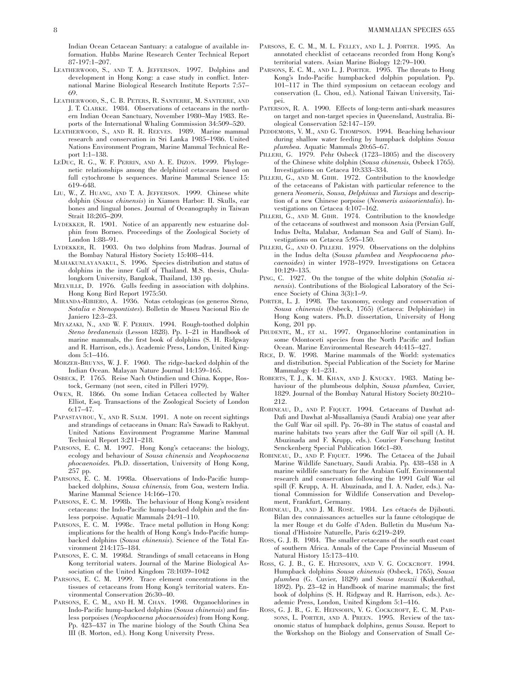Indian Ocean Cetacean Santuary: a catalogue of available information. Hubbs Marine Research Center Technical Report 87-197:1–207.

- LEATHERWOOD, S., AND T. A. JEFFERSON. 1997. Dolphins and development in Hong Kong: a case study in conflict. International Marine Biological Research Institute Reports 7:57– 69.
- LEATHERWOOD, S., C. B. PETERS, R. SANTERRE, M. SANTERRE, AND J. T. CLARKE. 1984. Observations of cetaceans in the northern Indian Ocean Sanctuary, November 1980–May 1983. Reports of the International Whaling Commission 34:509–520.
- LEATHERWOOD, S., AND R. R. REEVES. 1989. Marine mammal research and conservation in Sri Lanka 1985–1986. United Nations Environment Program, Marine Mammal Technical Report 1:1–138.
- LEDUC, R. G., W. F. PERRIN, AND A. E. DIZON. 1999. Phylogenetic relationships among the delphinid cetaceans based on full cytochrome b sequences. Marine Mammal Science 15: 619–648.
- LIU, W., Z. HUANG, AND T. A. JEFFERSON. 1999. Chinese white dolphin (*Sousa chinensis*) in Xiamen Harbor: II. Skulls, ear bones and lingual bones. Journal of Oceanography in Taiwan Strait 18:205–209.
- LYDEKKER, R. 1901. Notice of an apparently new estuarine dolphin from Borneo. Proceedings of the Zoological Society of London 1:88–91.
- LYDEKKER, R. 1903. On two dolphins from Madras. Journal of the Bombay Natural History Society 15:408–414.
- MAHAKUNLAYANAKUL, S. 1996. Species distribution and status of dolphins in the inner Gulf of Thailand. M.S. thesis, Chulalongkorn University, Bangkok, Thailand, 130 pp.
- MELVILLE, D. 1976. Gulls feeding in association with dolphins. Hong Kong Bird Report 1975:50.
- MIRANDA-RIBIERO, A. 1936. Notas cetologicas (os generos *Steno, Sotalia* e *Stenopontistes*). Bolletin de Museu Nacional Rio de Janiero 12:3–23.
- MIYAZAKI, N., AND W. F. PERRIN. 1994. Rough-toothed dolphin *Steno bredanensis* (Lesson 1828). Pp. 1–21 in Handbook of marine mammals, the first book of dolphins (S. H. Ridgway and R. Harrison, eds.). Academic Press, London, United Kingdom 5:1–416.
- MÖRZER-BRUYNS, W. J. F. 1960. The ridge-backed dolphin of the Indian Ocean. Malayan Nature Journal 14:159–165.
- OSBECK, P. 1765. Reise Nach Ostindien und China. Koppe, Rostock, Germany (not seen, cited in Pilleri 1979).
- OWEN, R. 1866. On some Indian Cetacea collected by Walter Elliot, Esq. Transactions of the Zoological Society of London 6:17–47.
- PAPASTAVROU, V., AND R. SALM. 1991. A note on recent sightings and strandings of cetaceans in Oman: Ra's Sawadi to Rakhyut. United Nations Environment Programme Marine Mammal Technical Report 3:211–218.
- PARSONS, E. C. M. 1997. Hong Kong's cetaceans: the biology, ecology and behaviour of *Sousa chinensis* and *Neophocaena phocaenoides.* Ph.D. dissertation, University of Hong Kong, 257 pp.
- PARSONS, E. C. M. 1998a. Observations of Indo-Pacific humpbacked dolphins, *Sousa chinensis,* from Goa, western India. Marine Mammal Science 14:166–170.
- PARSONS, E. C. M. 1998b. The behaviour of Hong Kong's resident cetaceans: the Indo-Pacific hump-backed dolphin and the finless porpoise. Aquatic Mammals 24:91–110.
- PARSONS, E. C. M. 1998c. Trace metal pollution in Hong Kong: implications for the health of Hong Kong's Indo-Pacific humpbacked dolphins (*Sousa chinensis*). Science of the Total Environment 214:175–184.
- PARSONS, E. C. M. 1998d. Strandings of small cetaceans in Hong Kong territorial waters. Journal of the Marine Biological Association of the United Kingdom 78:1039–1042
- PARSONS, E. C. M. 1999. Trace element concentrations in the tissues of cetaceans from Hong Kong's territorial waters. Environmental Conservation 26:30–40.
- PARSONS, E. C. M., AND H. M. CHAN. 1998. Organochlorines in Indo-Pacific hump-backed dolphins (*Sousa chinensis*) and finless porpoises (*Neophocaena phocaenoides*) from Hong Kong. Pp. 423–437 in The marine biology of the South China Sea III (B. Morton, ed.). Hong Kong University Press.
- PARSONS, E. C. M., M. L. FELLEY, AND L. J. PORTER. 1995. An annotated checklist of cetaceans recorded from Hong Kong's territorial waters. Asian Marine Biology 12:79–100.
- PARSONS, E. C. M., AND L. J. PORTER. 1995. The threats to Hong Kong's Indo-Pacific humpbacked dolphin population. Pp. 101–117 in The third symposium on cetacean ecology and conservation (L. Chou, ed.). National Taiwan University, Taipei.
- PATERSON, R. A. 1990. Effects of long-term anti-shark measures on target and non-target species in Queensland, Australia. Biological Conservation 52:147–159.
- PEDDEMORS, V. M., AND G. THOMPSON. 1994. Beaching behaviour during shallow water feeding by humpback dolphins *Sousa plumbea.* Aquatic Mammals 20:65–67.
- PILLERI, G. 1979. Pehr Osbeck (1723-1805) and the discovery of the Chinese white dolphin (*Sousa chinensis,* Osbeck 1765). Investigations on Cetacea 10:333–334.
- PILLERI, G., AND M. GIHR. 1972. Contribution to the knowledge of the cetaceans of Pakistan with particular reference to the genera *Neomeris, Sousa, Delphinus* and *Tursiops* and description of a new Chinese porpoise (*Neomeris asiaorientalis*). Investigations on Cetacea 4:107–162.
- PILLERI, G., AND M. GIHR. 1974. Contribution to the knowledge of the cetaceans of southwest and monsoon Asia (Persian Gulf, Indus Delta, Malabar, Andaman Sea and Gulf of Siam). Investigations on Cetacea 5:95–150.
- PILLERI, G., AND O. PILLERI. 1979. Observations on the dolphins in the Indus delta (*Sousa plumbea* and *Neophocaena phocaenoides*) in winter 1978–1979. Investigations on Cetacea 10:129–135.
- PING, C. 1927. On the tongue of the white dolphin (*Sotalia sinensis*). Contributions of the Biological Laboratory of the Science Society of China 3(3):1–9.
- PORTER, L. J. 1998. The taxonomy, ecology and conservation of *Sousa chinensis* (Osbeck, 1765) (Cetacea: Delphinidae) in Hong Kong waters. Ph.D. dissertation, University of Hong Kong, 201 pp.
- PRUDENTE, M., ET AL. 1997. Organochlorine contamination in some Odontoceti species from the North Pacific and Indian Ocean. Marine Environmental Research 44:415–427.
- RICE, D. W. 1998. Marine mammals of the World: systematics and distribution. Special Publication of the Society for Marine Mammalogy 4:1–231.
- ROBERTS, T. J., K. M. KHAN, AND J. KNUCKY. 1983. Mating behaviour of the plumbeous dolphin, *Sousa plumbea,* Cuvier, 1829. Journal of the Bombay Natural History Society 80:210– 212.
- ROBINEAU, D., AND P. FIQUET. 1994. Cetaceans of Dawhat ad-Dafi and Dawhat al-Musallamiya (Saudi Arabia) one year after the Gulf War oil spill. Pp. 76–80 in The status of coastal and marine habitats two years after the Gulf War oil spill (A. H. Abuzinada and F. Krupp, eds.). Courier Forschung Institut Senckenberg Special Publication 166:1–80.
- ROBINEAU, D., AND P. FIQUET. 1996. The Cetacea of the Jubail Marine Wildlife Sanctuary, Saudi Arabia. Pp. 438–458 in A marine wildlife sanctuary for the Arabian Gulf. Environmental research and conservation following the 1991 Gulf War oil spill (F. Krupp, A. H. Abuzinada, and I. A. Nader, eds.). National Commission for Wildlife Conservation and Development, Frankfurt, Germany.
- ROBINEAU, D., AND J. M. ROSE. 1984. Les cétacés de Djibouti. Bilan des connaissances actuelles sur la faune cétologique de la mer Rouge et du Golfe d'Aden. Bulletin du Muséum National d'Histoire Naturelle, Paris 6:219–249.
- ROSS, G. J. B. 1984. The smaller cetaceans of the south east coast of southern Africa. Annals of the Cape Provincial Museum of Natural History 15:173–410.
- ROSS, G. J. B., G. E. HEINSOHN, AND V. G. COCKCROFT. 1994. Humpback dolphins *Sousa chinensis* (Osbeck, 1765), *Sousa plumbea* (G. Cuvier, 1829) and *Sousa teuszii* (Kukenthal, 1892). Pp. 23–42 in Handbook of marine mammals; the first book of dolphins (S. H. Ridgway and R. Harrison, eds.). Academic Press, London, United Kingdom 5:1–416.
- ROSS, G. J. B., G. E. HEINSOHN, V. G. COCKCROFT, E. C. M. PAR-SONS, L. PORTER, AND A. PREEN. 1995. Review of the taxonomic status of humpback dolphins, genus *Sousa.* Report to the Workshop on the Biology and Conservation of Small Ce-